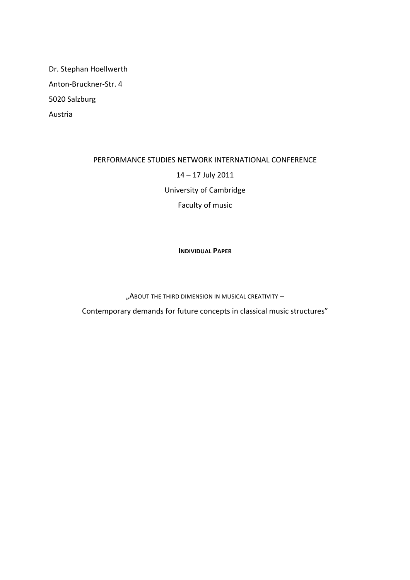Dr. Stephan Hoellwerth Anton-Bruckner-Str. 4 5020 Salzburg Austria

## PERFORMANCE STUDIES NETWORK INTERNATIONAL CONFERENCE 14 - 17 July 2011 University of Cambridge Faculty of music

**INDIVIDUAL PAPER**

"ABOUT THE THIRD DIMENSION IN MUSICAL CREATIVITY -

Contemporary demands for future concepts in classical music structures"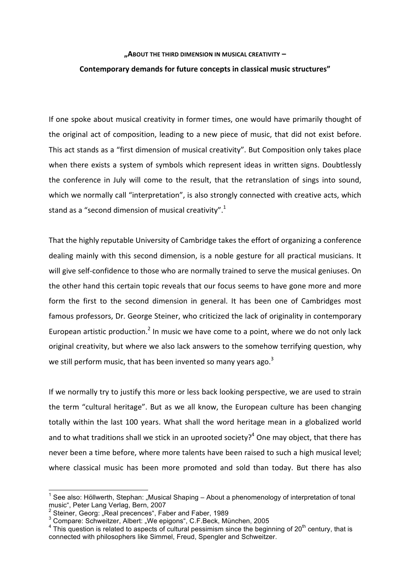## **"ABOUT THE THIRD DIMENSION IN MUSICAL CREATIVITY – Contemporary demands for future concepts in classical music structures"**

If one spoke about musical creativity in former times, one would have primarily thought of the original act of composition, leading to a new piece of music, that did not exist before. This act stands as a "first dimension of musical creativity". But Composition only takes place when there exists a system of symbols which represent ideas in written signs. Doubtlessly the conference in July will come to the result, that the retranslation of sings into sound, which we normally call "interpretation", is also strongly connected with creative acts, which stand as a "second dimension of musical creativity".<sup>1</sup>

That the highly reputable University of Cambridge takes the effort of organizing a conference dealing mainly with this second dimension, is a noble gesture for all practical musicians. It will give self-confidence to those who are normally trained to serve the musical geniuses. On the other hand this certain topic reveals that our focus seems to have gone more and more form the first to the second dimension in general. It has been one of Cambridges most famous professors, Dr. George Steiner, who criticized the lack of originality in contemporary European artistic production.<sup>2</sup> In music we have come to a point, where we do not only lack original creativity, but where we also lack answers to the somehow terrifying question, why we still perform music, that has been invented so many years ago.<sup>3</sup>

If we normally try to justify this more or less back looking perspective, we are used to strain the term "cultural heritage". But as we all know, the European culture has been changing totally within the last 100 years. What shall the word heritage mean in a globalized world and to what traditions shall we stick in an uprooted society?<sup>4</sup> One may object, that there has never been a time before, where more talents have been raised to such a high musical level; where classical music has been more promoted and sold than today. But there has also

<sup>&</sup>lt;sup>1</sup> See also: Höllwerth, Stephan: "Musical Shaping – About a phenomenology of interpretation of tonal music", Peter Lang Verlag, Bern, 2007

<sup>&</sup>lt;sup>2</sup> Steiner, Georg: "Real precences", Faber and Faber, 1989<br><sup>3</sup> Compare: Schweitzer, Albert: "We epigons", C.F.Beck, München, 2005

 $3<sup>4</sup>$  This question is related to aspects of cultural pessimism since the beginning of 20<sup>th</sup> century, that is connected with philosophers like Simmel, Freud, Spengler and Schweitzer.